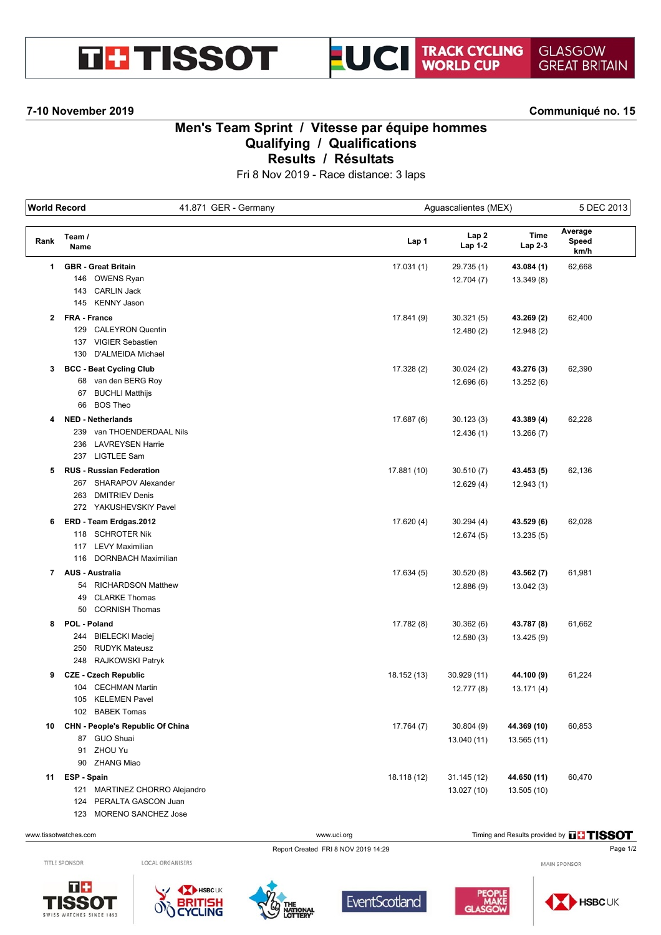# **THE TISSOT**



### **7-10 November 2019 Communiqué no. 15**

## **Men's Team Sprint / Vitesse par équipe hommes Qualifying / Qualifications Results / Résultats**

Fri 8 Nov 2019 - Race distance: 3 laps

| <b>World Record</b> |                                                 | 41.871 GER - Germany |             | Aguascalientes (MEX) |                 |                          | 5 DEC 2013 |  |
|---------------------|-------------------------------------------------|----------------------|-------------|----------------------|-----------------|--------------------------|------------|--|
| Rank                | Team /<br>Name                                  |                      | Lap 1       | Lap2<br>Lap 1-2      | Time<br>Lap 2-3 | Average<br>Speed<br>km/h |            |  |
| 1                   | <b>GBR</b> - Great Britain                      |                      | 17.031(1)   | 29.735 (1)           | 43.084 (1)      | 62,668                   |            |  |
|                     | 146 OWENS Ryan                                  |                      |             | 12.704(7)            | 13.349(8)       |                          |            |  |
|                     | 143 CARLIN Jack                                 |                      |             |                      |                 |                          |            |  |
|                     | 145 KENNY Jason                                 |                      |             |                      |                 |                          |            |  |
|                     | 2 FRA - France                                  |                      | 17.841 (9)  | 30.321(5)            | 43.269 (2)      | 62,400                   |            |  |
|                     | <b>CALEYRON Quentin</b><br>129                  |                      |             | 12.480(2)            | 12.948 (2)      |                          |            |  |
|                     | 137 VIGIER Sebastien                            |                      |             |                      |                 |                          |            |  |
|                     | D'ALMEIDA Michael<br>130                        |                      |             |                      |                 |                          |            |  |
| 3                   | <b>BCC - Beat Cycling Club</b>                  |                      | 17.328 (2)  | 30.024(2)            | 43.276 (3)      | 62,390                   |            |  |
|                     | 68 van den BERG Roy                             |                      |             | 12.696(6)            | 13.252 (6)      |                          |            |  |
|                     | 67 BUCHLI Matthijs                              |                      |             |                      |                 |                          |            |  |
|                     | 66 BOS Theo                                     |                      |             |                      |                 |                          |            |  |
| 4                   | <b>NED - Netherlands</b>                        |                      | 17.687 (6)  | 30.123(3)            | 43.389 (4)      | 62,228                   |            |  |
|                     | 239 van THOENDERDAAL Nils                       |                      |             | 12.436(1)            | 13.266 (7)      |                          |            |  |
|                     | 236 LAVREYSEN Harrie                            |                      |             |                      |                 |                          |            |  |
|                     | 237 LIGTLEE Sam                                 |                      |             |                      |                 |                          |            |  |
| 5                   | <b>RUS - Russian Federation</b>                 |                      | 17.881 (10) | 30.510(7)            | 43.453 (5)      | 62,136                   |            |  |
|                     | 267 SHARAPOV Alexander                          |                      |             | 12.629(4)            | 12.943(1)       |                          |            |  |
|                     | 263<br><b>DMITRIEV Denis</b>                    |                      |             |                      |                 |                          |            |  |
|                     | 272 YAKUSHEVSKIY Pavel                          |                      |             |                      |                 |                          |            |  |
| 6                   | ERD - Team Erdgas.2012                          |                      | 17.620 (4)  | 30.294(4)            | 43.529 (6)      | 62,028                   |            |  |
|                     | 118 SCHROTER Nik<br>117 LEVY Maximilian         |                      |             | 12.674(5)            | 13.235(5)       |                          |            |  |
|                     | 116 DORNBACH Maximilian                         |                      |             |                      |                 |                          |            |  |
|                     |                                                 |                      |             |                      |                 |                          |            |  |
| $\mathbf{7}$        | <b>AUS - Australia</b><br>54 RICHARDSON Matthew |                      | 17.634 (5)  | 30.520(8)            | 43.562 (7)      | 61,981                   |            |  |
|                     | <b>CLARKE Thomas</b><br>49                      |                      |             | 12.886 (9)           | 13.042(3)       |                          |            |  |
|                     | <b>CORNISH Thomas</b><br>50                     |                      |             |                      |                 |                          |            |  |
| 8                   | POL - Poland                                    |                      | 17.782 (8)  | 30.362(6)            | 43.787 (8)      | 61,662                   |            |  |
|                     | 244 BIELECKI Maciej                             |                      |             |                      |                 |                          |            |  |
|                     | 250<br>RUDYK Mateusz                            |                      |             | 12.580(3)            | 13.425 (9)      |                          |            |  |
|                     | 248 RAJKOWSKI Patryk                            |                      |             |                      |                 |                          |            |  |
| 9                   | <b>CZE - Czech Republic</b>                     |                      | 18.152 (13) | 30.929 (11)          | 44.100 (9)      | 61,224                   |            |  |
|                     | 104 CECHMAN Martin                              |                      |             | 12.777 (8)           | 13.171(4)       |                          |            |  |
|                     | 105 KELEMEN Pavel                               |                      |             |                      |                 |                          |            |  |
|                     | 102 BABEK Tomas                                 |                      |             |                      |                 |                          |            |  |
| 10                  | CHN - People's Republic Of China                |                      | 17.764 (7)  | 30.804(9)            | 44.369 (10)     | 60,853                   |            |  |
|                     | 87 GUO Shuai                                    |                      |             | 13.040 (11)          | 13.565 (11)     |                          |            |  |
|                     | 91 ZHOU Yu                                      |                      |             |                      |                 |                          |            |  |
|                     | 90 ZHANG Miao                                   |                      |             |                      |                 |                          |            |  |
| 11                  | ESP - Spain                                     |                      | 18.118 (12) | 31.145 (12)          | 44.650 (11)     | 60,470                   |            |  |
|                     | 121 MARTINEZ CHORRO Alejandro                   |                      |             | 13.027 (10)          | 13.505 (10)     |                          |            |  |
|                     | 124 PERALTA GASCON Juan                         |                      |             |                      |                 |                          |            |  |
|                     | 123 MORENO SANCHEZ Jose                         |                      |             |                      |                 |                          |            |  |

TITLE SPONSOR

 $T +$ 

SWISS WATCHES SINCE 1853

**ISSOT** 

LOCAL ORGANISERS









MAIN SPONSOR